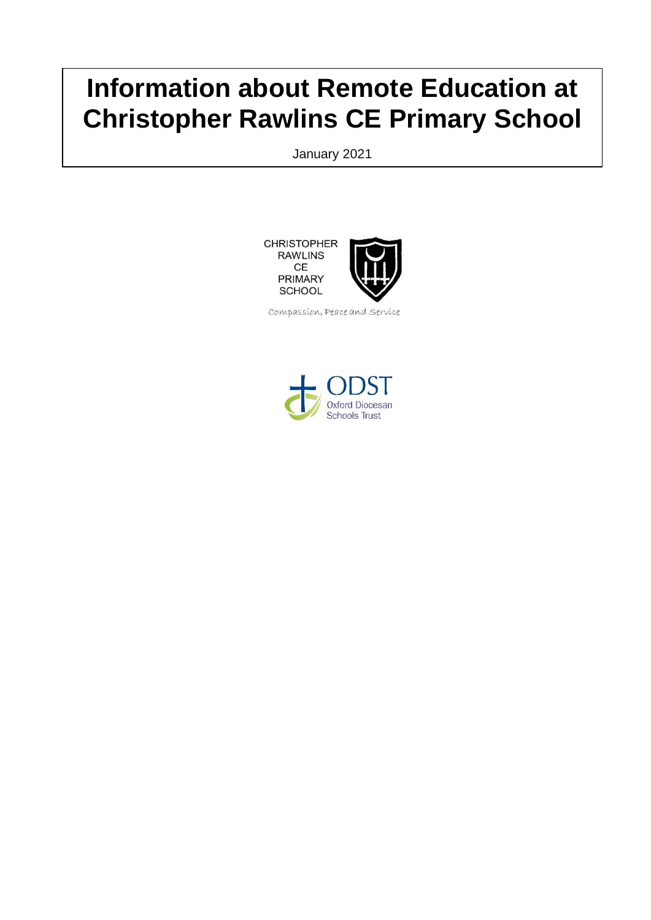# **Information about Remote Education at Christopher Rawlins CE Primary School**

January 2021

**CHRISTOPHER RAWLINS** CE **PRIMARY SCHOOL** 



Compassion, Peace and Service

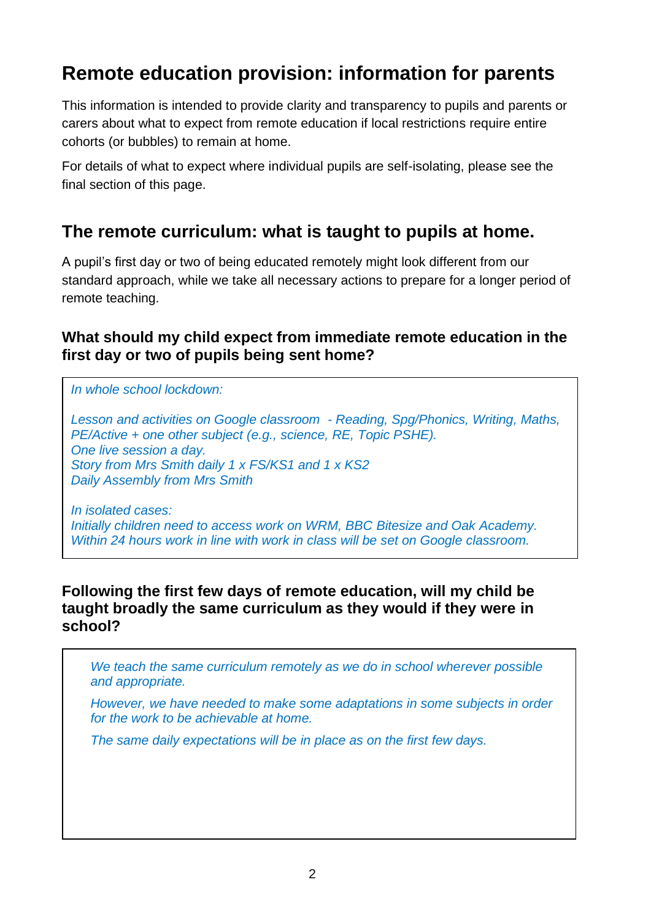## **Remote education provision: information for parents**

This information is intended to provide clarity and transparency to pupils and parents or carers about what to expect from remote education if local restrictions require entire cohorts (or bubbles) to remain at home.

For details of what to expect where individual pupils are self-isolating, please see the final section of this page.

## **The remote curriculum: what is taught to pupils at home.**

A pupil's first day or two of being educated remotely might look different from our standard approach, while we take all necessary actions to prepare for a longer period of remote teaching.

### **What should my child expect from immediate remote education in the first day or two of pupils being sent home?**

*In whole school lockdown:*

*Lesson and activities on Google classroom - Reading, Spg/Phonics, Writing, Maths, PE/Active + one other subject (e.g., science, RE, Topic PSHE). One live session a day. Story from Mrs Smith daily 1 x FS/KS1 and 1 x KS2 Daily Assembly from Mrs Smith* 

*In isolated cases: Initially children need to access work on WRM, BBC Bitesize and Oak Academy. Within 24 hours work in line with work in class will be set on Google classroom.*

#### **Following the first few days of remote education, will my child be taught broadly the same curriculum as they would if they were in school?**

*We teach the same curriculum remotely as we do in school wherever possible and appropriate.* 

*However, we have needed to make some adaptations in some subjects in order for the work to be achievable at home.* 

*The same daily expectations will be in place as on the first few days.*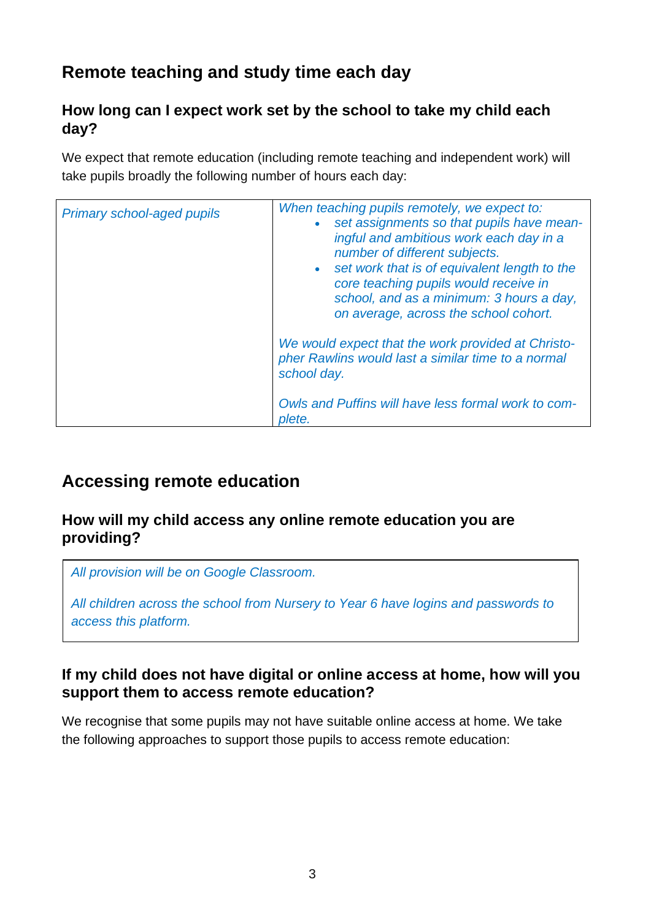## **Remote teaching and study time each day**

### **How long can I expect work set by the school to take my child each day?**

We expect that remote education (including remote teaching and independent work) will take pupils broadly the following number of hours each day:

| <b>Primary school-aged pupils</b> | When teaching pupils remotely, we expect to:<br>set assignments so that pupils have mean-<br>$\bullet$<br>ingful and ambitious work each day in a<br>number of different subjects.<br>set work that is of equivalent length to the<br>$\bullet$<br>core teaching pupils would receive in<br>school, and as a minimum: 3 hours a day,<br>on average, across the school cohort. |
|-----------------------------------|-------------------------------------------------------------------------------------------------------------------------------------------------------------------------------------------------------------------------------------------------------------------------------------------------------------------------------------------------------------------------------|
|                                   | We would expect that the work provided at Christo-<br>pher Rawlins would last a similar time to a normal<br>school day.<br>Owls and Puffins will have less formal work to com-                                                                                                                                                                                                |
|                                   | plete.                                                                                                                                                                                                                                                                                                                                                                        |

## **Accessing remote education**

#### **How will my child access any online remote education you are providing?**

*All provision will be on Google Classroom.*

*All children across the school from Nursery to Year 6 have logins and passwords to access this platform.*

#### **If my child does not have digital or online access at home, how will you support them to access remote education?**

We recognise that some pupils may not have suitable online access at home. We take the following approaches to support those pupils to access remote education: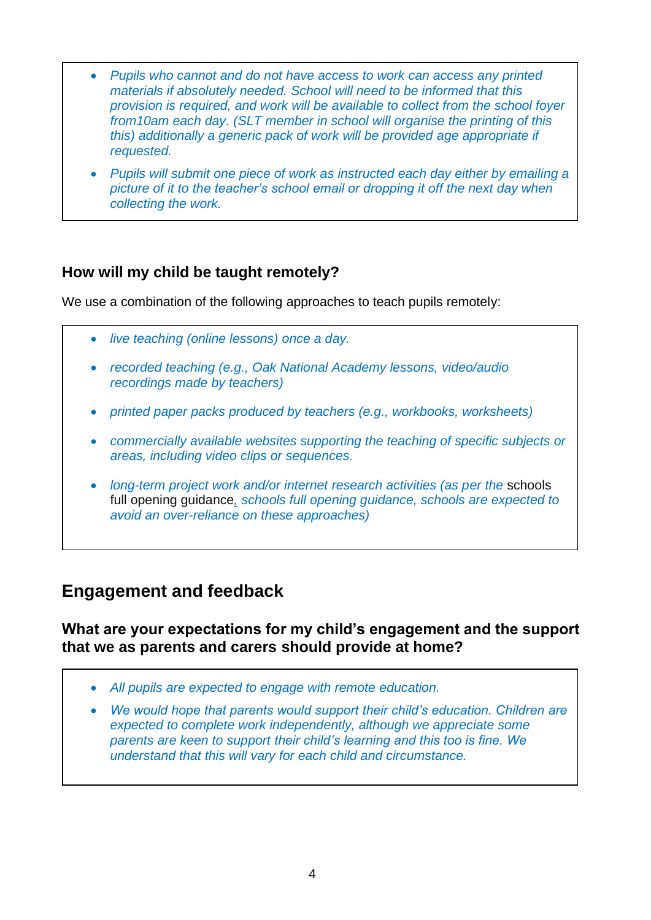- *Pupils who cannot and do not have access to work can access any printed materials if absolutely needed. School will need to be informed that this provision is required, and work will be available to collect from the school foyer from10am each day. (SLT member in school will organise the printing of this this) additionally a generic pack of work will be provided age appropriate if requested.*
- *Pupils will submit one piece of work as instructed each day either by emailing a picture of it to the teacher's school email or dropping it off the next day when collecting the work.*

### **How will my child be taught remotely?**

We use a combination of the following approaches to teach pupils remotely:

- *live teaching (online lessons) once a day.*
- *recorded teaching (e.g., Oak National Academy lessons, video/audio recordings made by teachers)*
- *printed paper packs produced by teachers (e.g., workbooks, worksheets)*
- *commercially available websites supporting the teaching of specific subjects or areas, including video clips or sequences.*
- *long-term project work and/or internet research activities (as per the schools* [full opening guidance](https://www.gov.uk/government/publications/actions-for-schools-during-the-coronavirus-outbreak/guidance-for-full-opening-schools#res)*, schools full opening guidance, schools are expected to avoid an over-reliance on these approaches)*

### **Engagement and feedback**

**What are your expectations for my child's engagement and the support that we as parents and carers should provide at home?**

- *All pupils are expected to engage with remote education.*
- *We would hope that parents would support their child's education. Children are expected to complete work independently, although we appreciate some parents are keen to support their child's learning and this too is fine. We understand that this will vary for each child and circumstance.*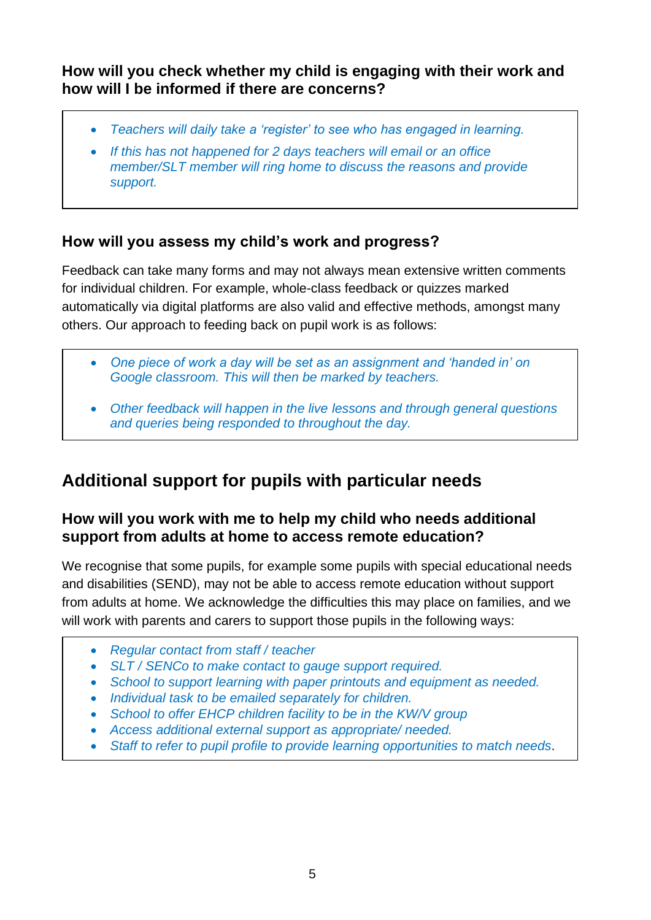**How will you check whether my child is engaging with their work and how will I be informed if there are concerns?**

- *Teachers will daily take a 'register' to see who has engaged in learning.*
- *If this has not happened for 2 days teachers will email or an office member/SLT member will ring home to discuss the reasons and provide support.*

### **How will you assess my child's work and progress?**

Feedback can take many forms and may not always mean extensive written comments for individual children. For example, whole-class feedback or quizzes marked automatically via digital platforms are also valid and effective methods, amongst many others. Our approach to feeding back on pupil work is as follows:

- *One piece of work a day will be set as an assignment and 'handed in' on Google classroom. This will then be marked by teachers.*
- *Other feedback will happen in the live lessons and through general questions and queries being responded to throughout the day.*

## **Additional support for pupils with particular needs**

### **How will you work with me to help my child who needs additional support from adults at home to access remote education?**

We recognise that some pupils, for example some pupils with special educational needs and disabilities (SEND), may not be able to access remote education without support from adults at home. We acknowledge the difficulties this may place on families, and we will work with parents and carers to support those pupils in the following ways:

- *Regular contact from staff / teacher*
- *SLT / SENCo to make contact to gauge support required.*
- *School to support learning with paper printouts and equipment as needed.*
- *Individual task to be emailed separately for children.*
- *School to offer EHCP children facility to be in the KW/V group*
- *Access additional external support as appropriate/ needed.*
- *Staff to refer to pupil profile to provide learning opportunities to match needs*.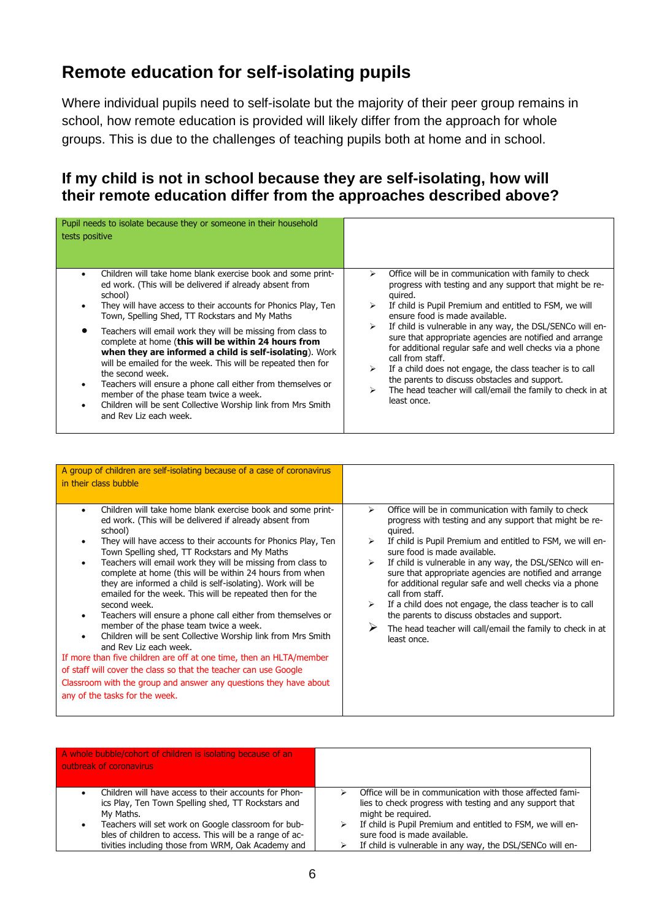## **Remote education for self-isolating pupils**

Where individual pupils need to self-isolate but the majority of their peer group remains in school, how remote education is provided will likely differ from the approach for whole groups. This is due to the challenges of teaching pupils both at home and in school.

#### **If my child is not in school because they are self-isolating, how will their remote education differ from the approaches described above?**

| Pupil needs to isolate because they or someone in their household<br>tests positive                                                                                                                                                                                                                                                                                                                                                                                                                                                                                                                                                                                                                                                                                              |                                                                                                                                                                                                                                                                                                                                                                                                                                                                                                                                                                                                                                             |
|----------------------------------------------------------------------------------------------------------------------------------------------------------------------------------------------------------------------------------------------------------------------------------------------------------------------------------------------------------------------------------------------------------------------------------------------------------------------------------------------------------------------------------------------------------------------------------------------------------------------------------------------------------------------------------------------------------------------------------------------------------------------------------|---------------------------------------------------------------------------------------------------------------------------------------------------------------------------------------------------------------------------------------------------------------------------------------------------------------------------------------------------------------------------------------------------------------------------------------------------------------------------------------------------------------------------------------------------------------------------------------------------------------------------------------------|
| Children will take home blank exercise book and some print-<br>$\bullet$<br>ed work. (This will be delivered if already absent from<br>school)<br>They will have access to their accounts for Phonics Play, Ten<br>$\bullet$<br>Town, Spelling Shed, TT Rockstars and My Maths<br>Teachers will email work they will be missing from class to<br>complete at home (this will be within 24 hours from<br>when they are informed a child is self-isolating). Work<br>will be emailed for the week. This will be repeated then for<br>the second week.<br>Teachers will ensure a phone call either from themselves or<br>$\bullet$<br>member of the phase team twice a week.<br>Children will be sent Collective Worship link from Mrs Smith<br>$\bullet$<br>and Rev Liz each week. | Office will be in communication with family to check<br>⋗<br>progress with testing and any support that might be re-<br>quired.<br>If child is Pupil Premium and entitled to FSM, we will<br>ensure food is made available.<br>If child is vulnerable in any way, the DSL/SENCo will en-<br>⋗<br>sure that appropriate agencies are notified and arrange<br>for additional regular safe and well checks via a phone<br>call from staff.<br>If a child does not engage, the class teacher is to call<br>⋗<br>the parents to discuss obstacles and support.<br>The head teacher will call/email the family to check in at<br>⋗<br>least once. |

| A group of children are self-isolating because of a case of coronavirus<br>in their class bubble                                                                                                                                                                                                                                                                                                                                                                                                                                                                                                                                                                                                                                                                                                                                                                                                                                                                                           |                                                                                                                                                                                                                                                                                                                                                                                                                                                                                                                                                                                                                                     |
|--------------------------------------------------------------------------------------------------------------------------------------------------------------------------------------------------------------------------------------------------------------------------------------------------------------------------------------------------------------------------------------------------------------------------------------------------------------------------------------------------------------------------------------------------------------------------------------------------------------------------------------------------------------------------------------------------------------------------------------------------------------------------------------------------------------------------------------------------------------------------------------------------------------------------------------------------------------------------------------------|-------------------------------------------------------------------------------------------------------------------------------------------------------------------------------------------------------------------------------------------------------------------------------------------------------------------------------------------------------------------------------------------------------------------------------------------------------------------------------------------------------------------------------------------------------------------------------------------------------------------------------------|
| Children will take home blank exercise book and some print-<br>$\bullet$<br>ed work. (This will be delivered if already absent from<br>school)<br>They will have access to their accounts for Phonics Play, Ten<br>Town Spelling shed, TT Rockstars and My Maths<br>Teachers will email work they will be missing from class to<br>complete at home (this will be within 24 hours from when<br>they are informed a child is self-isolating). Work will be<br>emailed for the week. This will be repeated then for the<br>second week.<br>Teachers will ensure a phone call either from themselves or<br>member of the phase team twice a week.<br>Children will be sent Collective Worship link from Mrs Smith<br>and Rev Liz each week.<br>If more than five children are off at one time, then an HLTA/member<br>of staff will cover the class so that the teacher can use Google<br>Classroom with the group and answer any questions they have about<br>any of the tasks for the week. | Office will be in communication with family to check<br>➤<br>progress with testing and any support that might be re-<br>quired.<br>If child is Pupil Premium and entitled to FSM, we will en-<br>sure food is made available.<br>If child is vulnerable in any way, the DSL/SENco will en-<br>➤<br>sure that appropriate agencies are notified and arrange<br>for additional regular safe and well checks via a phone<br>call from staff.<br>If a child does not engage, the class teacher is to call<br>the parents to discuss obstacles and support.<br>The head teacher will call/email the family to check in at<br>least once. |

| A whole bubble/cohort of children is isolating because of an<br>outbreak of coronavirus                                                                                                                                                                                                                            |                                                                                                                                                                                                                                                                                                        |
|--------------------------------------------------------------------------------------------------------------------------------------------------------------------------------------------------------------------------------------------------------------------------------------------------------------------|--------------------------------------------------------------------------------------------------------------------------------------------------------------------------------------------------------------------------------------------------------------------------------------------------------|
| Children will have access to their accounts for Phon-<br>$\bullet$<br>ics Play, Ten Town Spelling shed, TT Rockstars and<br>My Maths.<br>Teachers will set work on Google classroom for bub-<br>٠<br>bles of children to access. This will be a range of ac-<br>tivities including those from WRM, Oak Academy and | Office will be in communication with those affected fami-<br>lies to check progress with testing and any support that<br>might be required.<br>If child is Pupil Premium and entitled to FSM, we will en-<br>sure food is made available.<br>If child is vulnerable in any way, the DSL/SENCo will en- |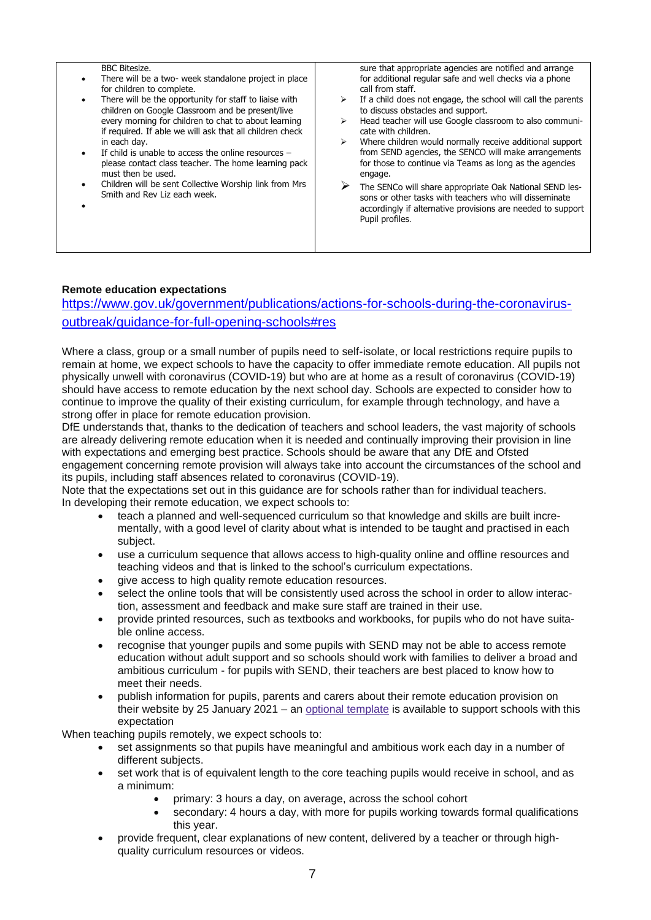| <b>BBC Bitesize.</b><br>There will be a two- week standalone project in place<br>for children to complete.<br>There will be the opportunity for staff to liaise with<br>children on Google Classroom and be present/live<br>every morning for children to chat to about learning<br>if required. If able we will ask that all children check<br>in each day.<br>If child is unable to access the online resources $-$<br>please contact class teacher. The home learning pack<br>must then be used.<br>Children will be sent Collective Worship link from Mrs<br>Smith and Rev Liz each week. | sure that appropriate agencies are notified and arrange<br>for additional regular safe and well checks via a phone<br>call from staff.<br>If a child does not engage, the school will call the parents<br>➤<br>to discuss obstacles and support.<br>Head teacher will use Google classroom to also communi-<br>➤<br>cate with children.<br>Where children would normally receive additional support<br>➤<br>from SEND agencies, the SENCO will make arrangements<br>for those to continue via Teams as long as the agencies<br>engage.<br>The SENCo will share appropriate Oak National SEND les-<br>sons or other tasks with teachers who will disseminate<br>accordingly if alternative provisions are needed to support<br>Pupil profiles. |
|-----------------------------------------------------------------------------------------------------------------------------------------------------------------------------------------------------------------------------------------------------------------------------------------------------------------------------------------------------------------------------------------------------------------------------------------------------------------------------------------------------------------------------------------------------------------------------------------------|-----------------------------------------------------------------------------------------------------------------------------------------------------------------------------------------------------------------------------------------------------------------------------------------------------------------------------------------------------------------------------------------------------------------------------------------------------------------------------------------------------------------------------------------------------------------------------------------------------------------------------------------------------------------------------------------------------------------------------------------------|

#### **Remote education expectations**

[https://www.gov.uk/government/publications/actions-for-schools-during-the-coronavirus](https://www.gov.uk/government/publications/actions-for-schools-during-the-coronavirus-outbreak/guidance-for-full-opening-schools#res)[outbreak/guidance-for-full-opening-schools#res](https://www.gov.uk/government/publications/actions-for-schools-during-the-coronavirus-outbreak/guidance-for-full-opening-schools#res)

Where a class, group or a small number of pupils need to self-isolate, or local restrictions require pupils to remain at home, we expect schools to have the capacity to offer immediate remote education. All pupils not physically unwell with coronavirus (COVID-19) but who are at home as a result of coronavirus (COVID-19) should have access to remote education by the next school day. Schools are expected to consider how to continue to improve the quality of their existing curriculum, for example through technology, and have a strong offer in place for remote education provision.

DfE understands that, thanks to the dedication of teachers and school leaders, the vast majority of schools are already delivering remote education when it is needed and continually improving their provision in line with expectations and emerging best practice. Schools should be aware that any DfE and Ofsted engagement concerning remote provision will always take into account the circumstances of the school and its pupils, including staff absences related to coronavirus (COVID-19).

Note that the expectations set out in this guidance are for schools rather than for individual teachers. In developing their remote education, we expect schools to:

- teach a planned and well-sequenced curriculum so that knowledge and skills are built incrementally, with a good level of clarity about what is intended to be taught and practised in each subject.
- use a curriculum sequence that allows access to high-quality online and offline resources and teaching videos and that is linked to the school's curriculum expectations.
- give access to high quality remote education resources.
- select the online tools that will be consistently used across the school in order to allow interaction, assessment and feedback and make sure staff are trained in their use.
- provide printed resources, such as textbooks and workbooks, for pupils who do not have suitable online access.
- recognise that younger pupils and some pupils with SEND may not be able to access remote education without adult support and so schools should work with families to deliver a broad and ambitious curriculum - for pupils with SEND, their teachers are best placed to know how to meet their needs.
- publish information for pupils, parents and carers about their remote education provision on their website by 25 January 2021 – an **[optional template](https://www.gov.uk/government/publications/providing-remote-education-information-to-parents-template)** is available to support schools with this expectation

When teaching pupils remotely, we expect schools to:

- set assignments so that pupils have meaningful and ambitious work each day in a number of different subjects.
- set work that is of equivalent length to the core teaching pupils would receive in school, and as a minimum:
	- primary: 3 hours a day, on average, across the school cohort
	- secondary: 4 hours a day, with more for pupils working towards formal qualifications this year.
- provide frequent, clear explanations of new content, delivered by a teacher or through highquality curriculum resources or videos.